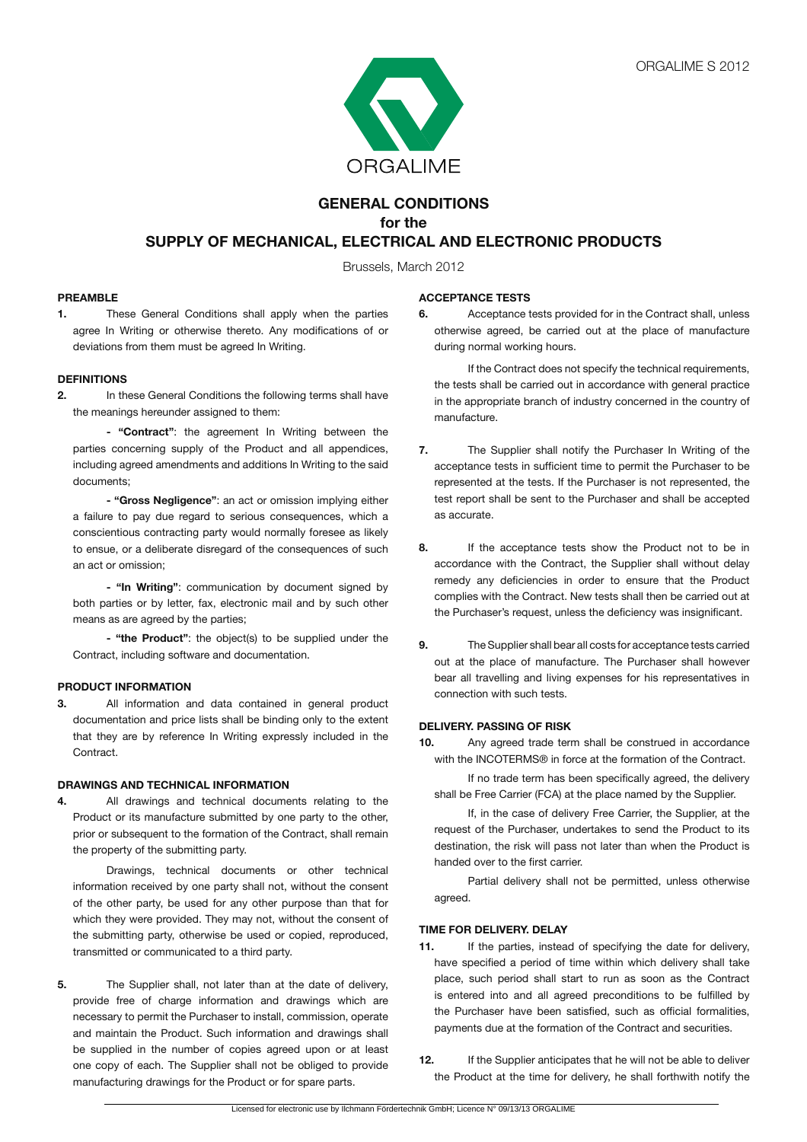

# **GENERAL CONDITIONS for the SUPPLY OF MECHANICAL, ELECTRICAL AND ELECTRONIC PRODUCTS**

Brussels, March 2012

#### **PREAMBLE**

**1.** These General Conditions shall apply when the parties agree In Writing or otherwise thereto. Any modifications of or deviations from them must be agreed In Writing.

### **DEFINITIONS**

**2.** In these General Conditions the following terms shall have the meanings hereunder assigned to them:

**- "Contract"**: the agreement In Writing between the parties concerning supply of the Product and all appendices, including agreed amendments and additions In Writing to the said documents;

**- "Gross Negligence"**: an act or omission implying either a failure to pay due regard to serious consequences, which a conscientious contracting party would normally foresee as likely to ensue, or a deliberate disregard of the consequences of such an act or omission;

 **- "In Writing"**: communication by document signed by both parties or by letter, fax, electronic mail and by such other means as are agreed by the parties;

**- "the Product"**: the object(s) to be supplied under the Contract, including software and documentation.

#### **PRODUCT INFORMATION**

**3.** All information and data contained in general product documentation and price lists shall be binding only to the extent that they are by reference In Writing expressly included in the Contract.

#### **DRAWINGS AND TECHNICAL INFORMATION**

**4.** All drawings and technical documents relating to the Product or its manufacture submitted by one party to the other, prior or subsequent to the formation of the Contract, shall remain the property of the submitting party.

 Drawings, technical documents or other technical information received by one party shall not, without the consent of the other party, be used for any other purpose than that for which they were provided. They may not, without the consent of the submitting party, otherwise be used or copied, reproduced, transmitted or communicated to a third party.

**5.** The Supplier shall, not later than at the date of delivery, provide free of charge information and drawings which are necessary to permit the Purchaser to install, commission, operate and maintain the Product. Such information and drawings shall be supplied in the number of copies agreed upon or at least one copy of each. The Supplier shall not be obliged to provide manufacturing drawings for the Product or for spare parts.

#### **ACCEPTANCE TESTS**

**6.** Acceptance tests provided for in the Contract shall, unless otherwise agreed, be carried out at the place of manufacture during normal working hours.

 If the Contract does not specify the technical requirements, the tests shall be carried out in accordance with general practice in the appropriate branch of industry concerned in the country of manufacture.

- **7.** The Supplier shall notify the Purchaser In Writing of the acceptance tests in sufficient time to permit the Purchaser to be represented at the tests. If the Purchaser is not represented, the test report shall be sent to the Purchaser and shall be accepted as accurate.
- **8.** If the acceptance tests show the Product not to be in accordance with the Contract, the Supplier shall without delay remedy any deficiencies in order to ensure that the Product complies with the Contract. New tests shall then be carried out at the Purchaser's request, unless the deficiency was insignificant.
- **9.** The Supplier shall bear all costs for acceptance tests carried out at the place of manufacture. The Purchaser shall however bear all travelling and living expenses for his representatives in connection with such tests.

#### **DELIVERY. PASSING OF RISK**

**10.** Any agreed trade term shall be construed in accordance with the INCOTERMS® in force at the formation of the Contract.

 If no trade term has been specifically agreed, the delivery shall be Free Carrier (FCA) at the place named by the Supplier.

 If, in the case of delivery Free Carrier, the Supplier, at the request of the Purchaser, undertakes to send the Product to its destination, the risk will pass not later than when the Product is handed over to the first carrier.

 Partial delivery shall not be permitted, unless otherwise agreed.

# **TIME FOR DELIVERY. DELAY**

- **11.** If the parties, instead of specifying the date for delivery, have specified a period of time within which delivery shall take place, such period shall start to run as soon as the Contract is entered into and all agreed preconditions to be fulfilled by the Purchaser have been satisfied, such as official formalities, payments due at the formation of the Contract and securities.
- **12.** If the Supplier anticipates that he will not be able to deliver the Product at the time for delivery, he shall forthwith notify the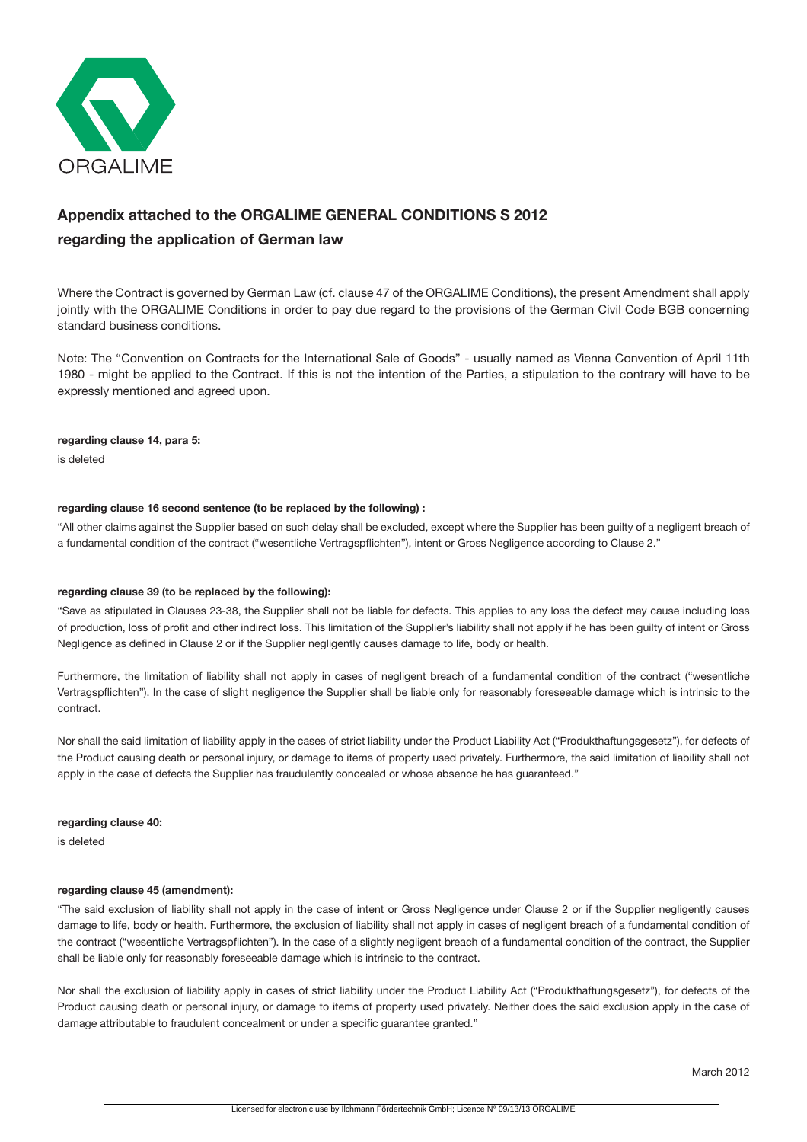

# **Appendix attached to the ORGALIME GENERAL CONDITIONS S 2012 regarding the application of German law**

Where the Contract is governed by German Law (cf. clause 47 of the ORGALIME Conditions), the present Amendment shall apply jointly with the ORGALIME Conditions in order to pay due regard to the provisions of the German Civil Code BGB concerning standard business conditions.

Note: The "Convention on Contracts for the International Sale of Goods" - usually named as Vienna Convention of April 11th 1980 - might be applied to the Contract. If this is not the intention of the Parties, a stipulation to the contrary will have to be expressly mentioned and agreed upon.

#### **regarding clause 14, para 5:**

is deleted

#### **regarding clause 16 second sentence (to be replaced by the following) :**

"All other claims against the Supplier based on such delay shall be excluded, except where the Supplier has been guilty of a negligent breach of a fundamental condition of the contract ("wesentliche Vertragspflichten"), intent or Gross Negligence according to Clause 2."

#### **regarding clause 39 (to be replaced by the following):**

"Save as stipulated in Clauses 23-38, the Supplier shall not be liable for defects. This applies to any loss the defect may cause including loss of production, loss of profit and other indirect loss. This limitation of the Supplier's liability shall not apply if he has been guilty of intent or Gross Negligence as defined in Clause 2 or if the Supplier negligently causes damage to life, body or health.

Furthermore, the limitation of liability shall not apply in cases of negligent breach of a fundamental condition of the contract ("wesentliche Vertragspflichten"). In the case of slight negligence the Supplier shall be liable only for reasonably foreseeable damage which is intrinsic to the contract.

Nor shall the said limitation of liability apply in the cases of strict liability under the Product Liability Act ("Produkthaftungsgesetz"), for defects of the Product causing death or personal injury, or damage to items of property used privately. Furthermore, the said limitation of liability shall not apply in the case of defects the Supplier has fraudulently concealed or whose absence he has guaranteed."

#### **regarding clause 40:**

is deleted

#### **regarding clause 45 (amendment):**

"The said exclusion of liability shall not apply in the case of intent or Gross Negligence under Clause 2 or if the Supplier negligently causes damage to life, body or health. Furthermore, the exclusion of liability shall not apply in cases of negligent breach of a fundamental condition of the contract ("wesentliche Vertragspflichten"). In the case of a slightly negligent breach of a fundamental condition of the contract, the Supplier shall be liable only for reasonably foreseeable damage which is intrinsic to the contract.

Nor shall the exclusion of liability apply in cases of strict liability under the Product Liability Act ("Produkthaftungsgesetz"), for defects of the Product causing death or personal injury, or damage to items of property used privately. Neither does the said exclusion apply in the case of damage attributable to fraudulent concealment or under a specific guarantee granted."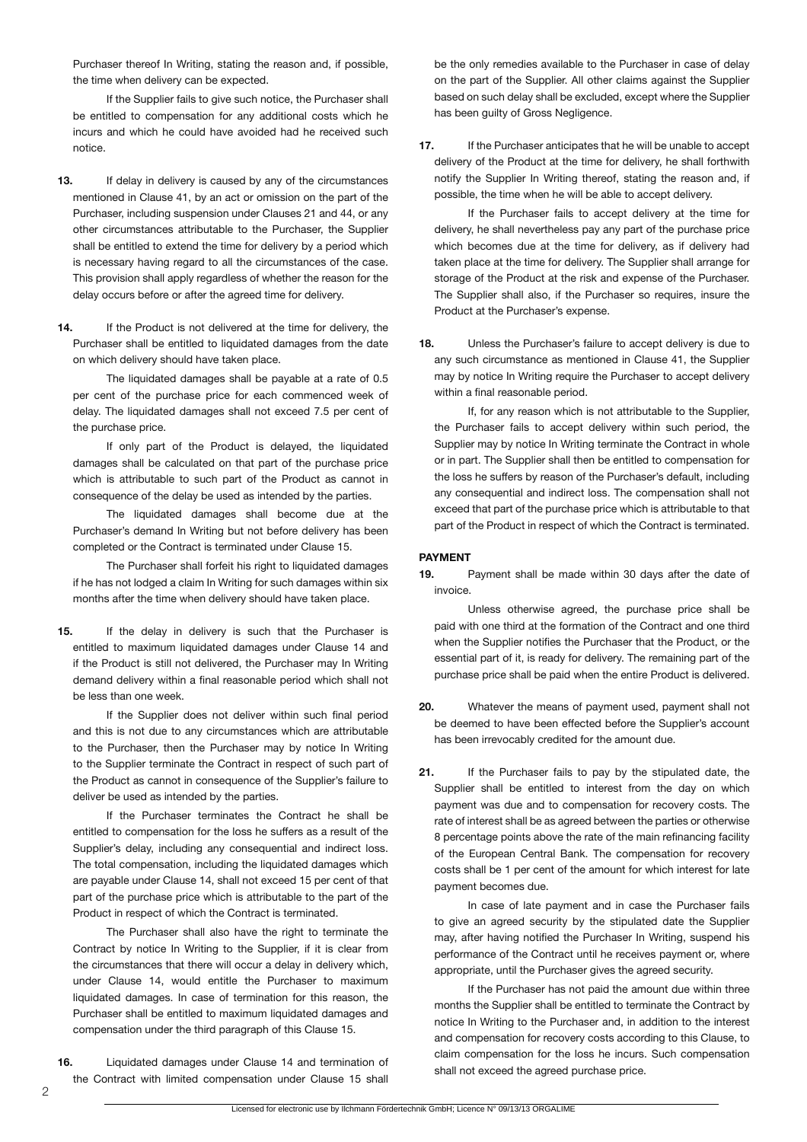Purchaser thereof In Writing, stating the reason and, if possible, the time when delivery can be expected.

 If the Supplier fails to give such notice, the Purchaser shall be entitled to compensation for any additional costs which he incurs and which he could have avoided had he received such notice.

- **13.** If delay in delivery is caused by any of the circumstances mentioned in Clause 41, by an act or omission on the part of the Purchaser, including suspension under Clauses 21 and 44, or any other circumstances attributable to the Purchaser, the Supplier shall be entitled to extend the time for delivery by a period which is necessary having regard to all the circumstances of the case. This provision shall apply regardless of whether the reason for the delay occurs before or after the agreed time for delivery.
- 14. If the Product is not delivered at the time for delivery, the Purchaser shall be entitled to liquidated damages from the date on which delivery should have taken place.

 The liquidated damages shall be payable at a rate of 0.5 per cent of the purchase price for each commenced week of delay. The liquidated damages shall not exceed 7.5 per cent of the purchase price.

 If only part of the Product is delayed, the liquidated damages shall be calculated on that part of the purchase price which is attributable to such part of the Product as cannot in consequence of the delay be used as intended by the parties.

 The liquidated damages shall become due at the Purchaser's demand In Writing but not before delivery has been completed or the Contract is terminated under Clause 15.

 The Purchaser shall forfeit his right to liquidated damages if he has not lodged a claim In Writing for such damages within six months after the time when delivery should have taken place.

**15.** If the delay in delivery is such that the Purchaser is entitled to maximum liquidated damages under Clause 14 and if the Product is still not delivered, the Purchaser may In Writing demand delivery within a final reasonable period which shall not be less than one week.

 If the Supplier does not deliver within such final period and this is not due to any circumstances which are attributable to the Purchaser, then the Purchaser may by notice In Writing to the Supplier terminate the Contract in respect of such part of the Product as cannot in consequence of the Supplier's failure to deliver be used as intended by the parties.

 If the Purchaser terminates the Contract he shall be entitled to compensation for the loss he suffers as a result of the Supplier's delay, including any consequential and indirect loss. The total compensation, including the liquidated damages which are payable under Clause 14, shall not exceed 15 per cent of that part of the purchase price which is attributable to the part of the Product in respect of which the Contract is terminated.

 The Purchaser shall also have the right to terminate the Contract by notice In Writing to the Supplier, if it is clear from the circumstances that there will occur a delay in delivery which, under Clause 14, would entitle the Purchaser to maximum liquidated damages. In case of termination for this reason, the Purchaser shall be entitled to maximum liquidated damages and compensation under the third paragraph of this Clause 15.

**16.** Liquidated damages under Clause 14 and termination of the Contract with limited compensation under Clause 15 shall

be the only remedies available to the Purchaser in case of delay on the part of the Supplier. All other claims against the Supplier based on such delay shall be excluded, except where the Supplier has been guilty of Gross Negligence.

**17.** If the Purchaser anticipates that he will be unable to accept delivery of the Product at the time for delivery, he shall forthwith notify the Supplier In Writing thereof, stating the reason and, if possible, the time when he will be able to accept delivery.

 If the Purchaser fails to accept delivery at the time for delivery, he shall nevertheless pay any part of the purchase price which becomes due at the time for delivery, as if delivery had taken place at the time for delivery. The Supplier shall arrange for storage of the Product at the risk and expense of the Purchaser. The Supplier shall also, if the Purchaser so requires, insure the Product at the Purchaser's expense.

**18.** Unless the Purchaser's failure to accept delivery is due to any such circumstance as mentioned in Clause 41, the Supplier may by notice In Writing require the Purchaser to accept delivery within a final reasonable period.

 If, for any reason which is not attributable to the Supplier, the Purchaser fails to accept delivery within such period, the Supplier may by notice In Writing terminate the Contract in whole or in part. The Supplier shall then be entitled to compensation for the loss he suffers by reason of the Purchaser's default, including any consequential and indirect loss. The compensation shall not exceed that part of the purchase price which is attributable to that part of the Product in respect of which the Contract is terminated.

# **PAYMENT**

**19.** Payment shall be made within 30 days after the date of invoice.

 Unless otherwise agreed, the purchase price shall be paid with one third at the formation of the Contract and one third when the Supplier notifies the Purchaser that the Product, or the essential part of it, is ready for delivery. The remaining part of the purchase price shall be paid when the entire Product is delivered.

- **20.** Whatever the means of payment used, payment shall not be deemed to have been effected before the Supplier's account has been irrevocably credited for the amount due.
- **21.** If the Purchaser fails to pay by the stipulated date, the Supplier shall be entitled to interest from the day on which payment was due and to compensation for recovery costs. The rate of interest shall be as agreed between the parties or otherwise 8 percentage points above the rate of the main refinancing facility of the European Central Bank. The compensation for recovery costs shall be 1 per cent of the amount for which interest for late payment becomes due.

 In case of late payment and in case the Purchaser fails to give an agreed security by the stipulated date the Supplier may, after having notified the Purchaser In Writing, suspend his performance of the Contract until he receives payment or, where appropriate, until the Purchaser gives the agreed security.

 If the Purchaser has not paid the amount due within three months the Supplier shall be entitled to terminate the Contract by notice In Writing to the Purchaser and, in addition to the interest and compensation for recovery costs according to this Clause, to claim compensation for the loss he incurs. Such compensation shall not exceed the agreed purchase price.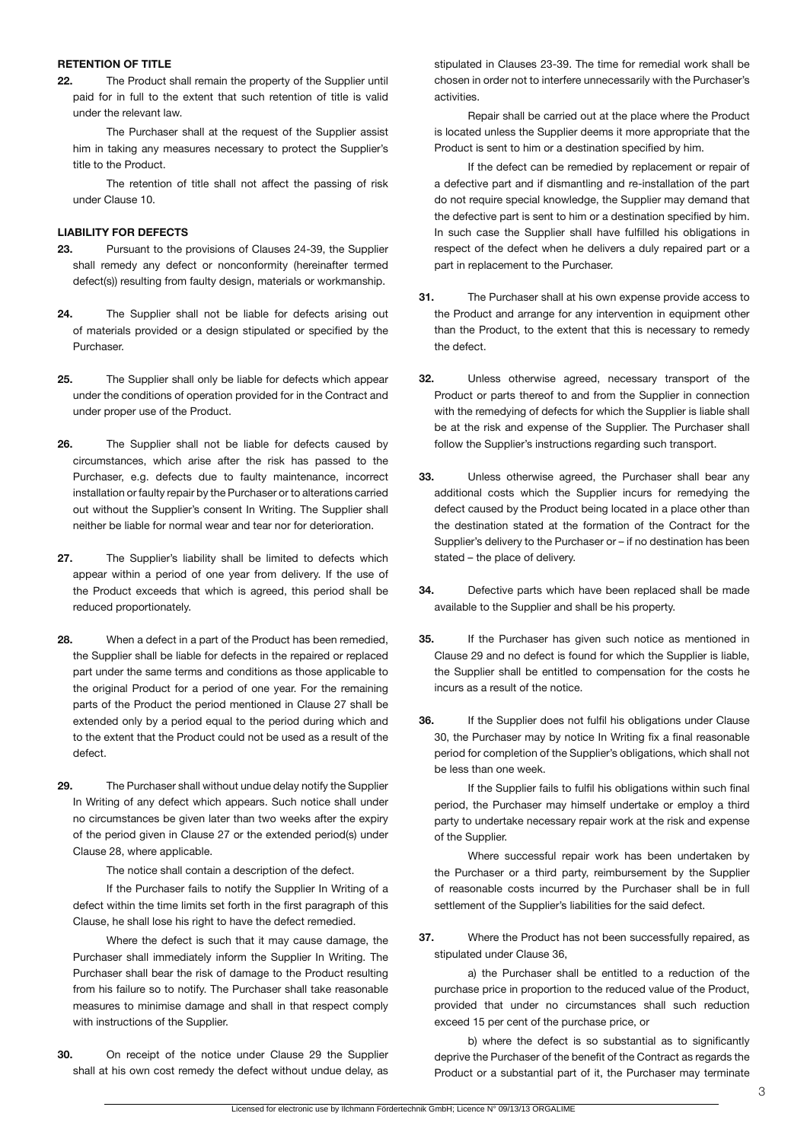#### **RETENTION OF TITLE**

**22.** The Product shall remain the property of the Supplier until paid for in full to the extent that such retention of title is valid under the relevant law.

 The Purchaser shall at the request of the Supplier assist him in taking any measures necessary to protect the Supplier's title to the Product.

 The retention of title shall not affect the passing of risk under Clause 10.

# **LIABILITY FOR DEFECTS**

- **23.** Pursuant to the provisions of Clauses 24-39, the Supplier shall remedy any defect or nonconformity (hereinafter termed defect(s)) resulting from faulty design, materials or workmanship.
- **24.** The Supplier shall not be liable for defects arising out of materials provided or a design stipulated or specified by the Purchaser.
- **25.** The Supplier shall only be liable for defects which appear under the conditions of operation provided for in the Contract and under proper use of the Product.
- **26.** The Supplier shall not be liable for defects caused by circumstances, which arise after the risk has passed to the Purchaser, e.g. defects due to faulty maintenance, incorrect installation or faulty repair by the Purchaser or to alterations carried out without the Supplier's consent In Writing. The Supplier shall neither be liable for normal wear and tear nor for deterioration.
- **27.** The Supplier's liability shall be limited to defects which appear within a period of one year from delivery. If the use of the Product exceeds that which is agreed, this period shall be reduced proportionately.
- **28.** When a defect in a part of the Product has been remedied, the Supplier shall be liable for defects in the repaired or replaced part under the same terms and conditions as those applicable to the original Product for a period of one year. For the remaining parts of the Product the period mentioned in Clause 27 shall be extended only by a period equal to the period during which and to the extent that the Product could not be used as a result of the defect.
- **29.** The Purchaser shall without undue delay notify the Supplier In Writing of any defect which appears. Such notice shall under no circumstances be given later than two weeks after the expiry of the period given in Clause 27 or the extended period(s) under Clause 28, where applicable.

 The notice shall contain a description of the defect.

 If the Purchaser fails to notify the Supplier In Writing of a defect within the time limits set forth in the first paragraph of this Clause, he shall lose his right to have the defect remedied.

 Where the defect is such that it may cause damage, the Purchaser shall immediately inform the Supplier In Writing. The Purchaser shall bear the risk of damage to the Product resulting from his failure so to notify. The Purchaser shall take reasonable measures to minimise damage and shall in that respect comply with instructions of the Supplier.

**30.** On receipt of the notice under Clause 29 the Supplier shall at his own cost remedy the defect without undue delay, as

stipulated in Clauses 23-39. The time for remedial work shall be chosen in order not to interfere unnecessarily with the Purchaser's activities.

 Repair shall be carried out at the place where the Product is located unless the Supplier deems it more appropriate that the Product is sent to him or a destination specified by him.

 If the defect can be remedied by replacement or repair of a defective part and if dismantling and re-installation of the part do not require special knowledge, the Supplier may demand that the defective part is sent to him or a destination specified by him. In such case the Supplier shall have fulfilled his obligations in respect of the defect when he delivers a duly repaired part or a part in replacement to the Purchaser.

- **31.** The Purchaser shall at his own expense provide access to the Product and arrange for any intervention in equipment other than the Product, to the extent that this is necessary to remedy the defect.
- **32.** Unless otherwise agreed, necessary transport of the Product or parts thereof to and from the Supplier in connection with the remedying of defects for which the Supplier is liable shall be at the risk and expense of the Supplier. The Purchaser shall follow the Supplier's instructions regarding such transport.
- **33.** Unless otherwise agreed, the Purchaser shall bear any additional costs which the Supplier incurs for remedying the defect caused by the Product being located in a place other than the destination stated at the formation of the Contract for the Supplier's delivery to the Purchaser or – if no destination has been stated – the place of delivery.
- **34.** Defective parts which have been replaced shall be made available to the Supplier and shall be his property.
- **35.** If the Purchaser has given such notice as mentioned in Clause 29 and no defect is found for which the Supplier is liable, the Supplier shall be entitled to compensation for the costs he incurs as a result of the notice.
- **36.** If the Supplier does not fulfil his obligations under Clause 30, the Purchaser may by notice In Writing fix a final reasonable period for completion of the Supplier's obligations, which shall not be less than one week.

 If the Supplier fails to fulfil his obligations within such final period, the Purchaser may himself undertake or employ a third party to undertake necessary repair work at the risk and expense of the Supplier.

 Where successful repair work has been undertaken by the Purchaser or a third party, reimbursement by the Supplier of reasonable costs incurred by the Purchaser shall be in full settlement of the Supplier's liabilities for the said defect.

**37.** Where the Product has not been successfully repaired, as stipulated under Clause 36,

 a) the Purchaser shall be entitled to a reduction of the purchase price in proportion to the reduced value of the Product, provided that under no circumstances shall such reduction exceed 15 per cent of the purchase price, or

b) where the defect is so substantial as to significantly deprive the Purchaser of the benefit of the Contract as regards the Product or a substantial part of it, the Purchaser may terminate